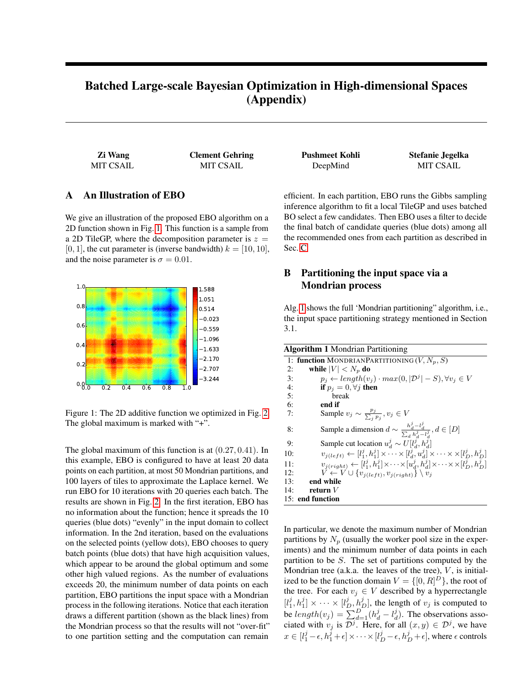# Batched Large-scale Bayesian Optimization in High-dimensional Spaces (Appendix)

Zi Wang Clement Gehring Pushmeet Kohli Stefanie Jegelka

# A An Illustration of EBO

We give an illustration of the proposed EBO algorithm on a 2D function shown in Fig. [1.](#page-0-0) This function is a sample from a 2D TileGP, where the decomposition parameter is  $z =$ [0, 1], the cut parameter is (inverse bandwidth)  $k = [10, 10]$ , and the noise parameter is  $\sigma = 0.01$ .



<span id="page-0-0"></span>Figure 1: The 2D additive function we optimized in Fig. [2.](#page-1-0) The global maximum is marked with "+".

The global maximum of this function is at (0.27, 0.41). In this example, EBO is configured to have at least 20 data points on each partition, at most 50 Mondrian partitions, and 100 layers of tiles to approximate the Laplace kernel. We run EBO for 10 iterations with 20 queries each batch. The results are shown in Fig. [2.](#page-1-0) In the first iteration, EBO has no information about the function; hence it spreads the 10 queries (blue dots) "evenly" in the input domain to collect information. In the 2nd iteration, based on the evaluations on the selected points (yellow dots), EBO chooses to query batch points (blue dots) that have high acquisition values, which appear to be around the global optimum and some other high valued regions. As the number of evaluations exceeds 20, the minimum number of data points on each partition, EBO partitions the input space with a Mondrian process in the following iterations. Notice that each iteration draws a different partition (shown as the black lines) from the Mondrian process so that the results will not "over-fit" to one partition setting and the computation can remain

MIT CSAIL MIT CSAIL DeepMind MIT CSAIL

efficient. In each partition, EBO runs the Gibbs sampling inference algorithm to fit a local TileGP and uses batched BO select a few candidates. Then EBO uses a filter to decide the final batch of candidate queries (blue dots) among all the recommended ones from each partition as described in Sec. [C.](#page-1-1)

# B Partitioning the input space via a Mondrian process

Alg. [1](#page-0-1) shows the full 'Mondrian partitioning" algorithm, i.e., the input space partitioning strategy mentioned in Section 3.1.

<span id="page-0-1"></span>

| <b>Algorithm 1</b> Mondrian Partitioning                                                                                       |
|--------------------------------------------------------------------------------------------------------------------------------|
| 1: function MONDRIANPARTITIONING $(V, N_p, S)$                                                                                 |
| 2:<br>while $ V  < N_n$ do                                                                                                     |
| $p_j \leftarrow length(v_j) \cdot max(0,  \mathcal{D}^j  - S), \forall v_i \in V$<br>$\overline{3}$ :                          |
| 4:<br>if $p_i = 0, \forall j$ then                                                                                             |
| 5:<br>break                                                                                                                    |
| 6:<br>end if                                                                                                                   |
| 7:<br>Sample $v_j \sim \frac{p_j}{\sum_i p_i}, v_j \in V$                                                                      |
| Sample a dimension $d \sim \frac{h_d^j - l_d^j}{\sum_a h_a^j - l_a^j}, d \in [D]$<br>8:                                        |
| Sample cut location $u_d^j \sim U[l_d^j, h_d^j]$<br>9:                                                                         |
| $v_{i(left)} \leftarrow [l_1^j, h_1^j] \times \cdots \times [l_d^j, u_d^j] \times \cdots \times \times [l_n^j, h_n^j]$<br>10:  |
| $v_{j(right)} \leftarrow [l_1^j, h_1^j] \times \cdots \times [u_d^j, h_d^j] \times \cdots \times \times [l_D^j, h_D^j]$<br>11: |
| $V \leftarrow V \cup \{v_{i(left)}, v_{i(right)}\} \setminus v_i$<br>12:                                                       |
| 13:<br>end while                                                                                                               |
| 14:<br>return $V$                                                                                                              |
| 15: end function                                                                                                               |

In particular, we denote the maximum number of Mondrian partitions by  $N_p$  (usually the worker pool size in the experiments) and the minimum number of data points in each partition to be S. The set of partitions computed by the Mondrian tree (a.k.a. the leaves of the tree),  $V$ , is initialized to be the function domain  $V = \{[0, R]^D\}$ , the root of the tree. For each  $v_i \in V$  described by a hyperrectangle  $[l_1^j, h_1^j] \times \cdots \times [l_D^j, h_D^j]$ , the length of  $v_j$  is computed to be  $length(v_j) = \sum_{d=1}^{D} (h_d^j - l_d^j)$ . The observations associated with  $v_j$  is  $\mathcal{D}^j$ . Here, for all  $(x, y) \in \mathcal{D}^j$ , we have  $x \in [l_1^j - \epsilon, h_1^j + \epsilon] \times \cdots \times [l_D^j - \epsilon, h_D^j + \epsilon]$ , where  $\epsilon$  controls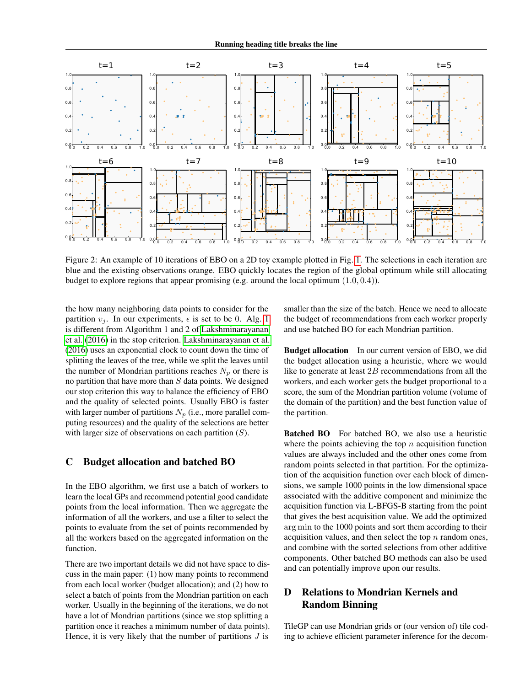

<span id="page-1-0"></span>Figure 2: An example of 10 iterations of EBO on a 2D toy example plotted in Fig. [1.](#page-0-0) The selections in each iteration are blue and the existing observations orange. EBO quickly locates the region of the global optimum while still allocating budget to explore regions that appear promising (e.g. around the local optimum (1.0, 0.4)).

the how many neighboring data points to consider for the partition  $v_i$ . In our experiments,  $\epsilon$  is set to be 0. Alg. [1](#page-0-1) is different from Algorithm 1 and 2 of [Lakshminarayanan](#page-5-0) [et al.](#page-5-0) [\(2016\)](#page-5-0) in the stop criterion. [Lakshminarayanan et al.](#page-5-0) [\(2016\)](#page-5-0) uses an exponential clock to count down the time of splitting the leaves of the tree, while we split the leaves until the number of Mondrian partitions reaches  $N_p$  or there is no partition that have more than  $S$  data points. We designed our stop criterion this way to balance the efficiency of EBO and the quality of selected points. Usually EBO is faster with larger number of partitions  $N_p$  (i.e., more parallel computing resources) and the quality of the selections are better with larger size of observations on each partition  $(S)$ .

# <span id="page-1-1"></span>C Budget allocation and batched BO

In the EBO algorithm, we first use a batch of workers to learn the local GPs and recommend potential good candidate points from the local information. Then we aggregate the information of all the workers, and use a filter to select the points to evaluate from the set of points recommended by all the workers based on the aggregated information on the function.

There are two important details we did not have space to discuss in the main paper: (1) how many points to recommend from each local worker (budget allocation); and (2) how to select a batch of points from the Mondrian partition on each worker. Usually in the beginning of the iterations, we do not have a lot of Mondrian partitions (since we stop splitting a partition once it reaches a minimum number of data points). Hence, it is very likely that the number of partitions  $J$  is

smaller than the size of the batch. Hence we need to allocate the budget of recommendations from each worker properly and use batched BO for each Mondrian partition.

Budget allocation In our current version of EBO, we did the budget allocation using a heuristic, where we would like to generate at least  $2B$  recommendations from all the workers, and each worker gets the budget proportional to a score, the sum of the Mondrian partition volume (volume of the domain of the partition) and the best function value of the partition.

Batched BO For batched BO, we also use a heuristic where the points achieving the top  $n$  acquisition function values are always included and the other ones come from random points selected in that partition. For the optimization of the acquisition function over each block of dimensions, we sample 1000 points in the low dimensional space associated with the additive component and minimize the acquisition function via L-BFGS-B starting from the point that gives the best acquisition value. We add the optimized arg min to the 1000 points and sort them according to their acquisition values, and then select the top  $n$  random ones, and combine with the sorted selections from other additive components. Other batched BO methods can also be used and can potentially improve upon our results.

# D Relations to Mondrian Kernels and Random Binning

TileGP can use Mondrian grids or (our version of) tile coding to achieve efficient parameter inference for the decom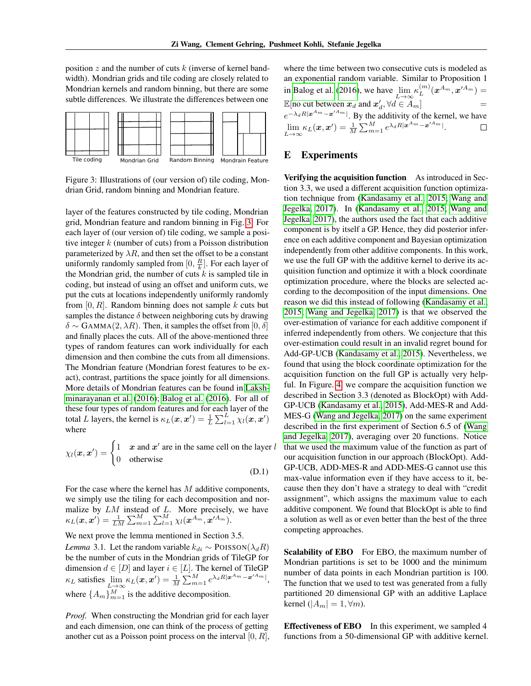position z and the number of cuts  $k$  (inverse of kernel bandwidth). Mondrian grids and tile coding are closely related to Mondrian kernels and random binning, but there are some subtle differences. We illustrate the differences between one



<span id="page-2-0"></span>Figure 3: Illustrations of (our version of) tile coding, Mondrian Grid, random binning and Mondrian feature.

layer of the features constructed by tile coding, Mondrian grid, Mondrian feature and random binning in Fig. [3.](#page-2-0) For each layer of (our version of) tile coding, we sample a positive integer  $k$  (number of cuts) from a Poisson distribution parameterized by  $\lambda R$ , and then set the offset to be a constant uniformly randomly sampled from  $[0, \frac{R}{k}]$ . For each layer of the Mondrian grid, the number of cuts  $k$  is sampled tile in coding, but instead of using an offset and uniform cuts, we put the cuts at locations independently uniformly randomly from  $[0, R]$ . Random binning does not sample k cuts but samples the distance  $\delta$  between neighboring cuts by drawing  $\delta \sim$  GAMMA(2,  $\lambda R$ ). Then, it samples the offset from [0,  $\delta$ ] and finally places the cuts. All of the above-mentioned three types of random features can work individually for each dimension and then combine the cuts from all dimensions. The Mondrian feature (Mondrian forest features to be exact), contrast, partitions the space jointly for all dimensions. More details of Mondrian features can be found in [Laksh](#page-5-0)[minarayanan et al.](#page-5-0) [\(2016\)](#page-5-0); [Balog et al.](#page-4-0) [\(2016\)](#page-4-0). For all of these four types of random features and for each layer of the total L layers, the kernel is  $\kappa_L(\mathbf{x}, \mathbf{x}') = \frac{1}{L} \sum_{l=1}^{L} \chi_l(\mathbf{x}, \mathbf{x}')$ where

$$
\chi_l(\mathbf{x}, \mathbf{x}') = \begin{cases} 1 & \mathbf{x} \text{ and } \mathbf{x}' \text{ are in the same cell on the layer } l \\ 0 & \text{otherwise} \end{cases}
$$
 (D.1)

For the case where the kernel has M additive components, we simply use the tiling for each decomposition and normalize by  $LM$  instead of  $L$ . More precisely, we have  $\kappa_L(\boldsymbol{x}, \boldsymbol{x'}) = \frac{1}{LM} \sum_{m=1}^M \sum_{l=1}^M \chi_l(\boldsymbol{x}^{A_m}, \boldsymbol{x}'^{A_m}).$ 

We next prove the lemma mentioned in Section 3.5. *Lemma* 3.1. Let the random variable  $k_{di} \sim \text{POISSON}(\lambda_d R)$ be the number of cuts in the Mondrian grids of TileGP for dimension  $d \in [D]$  and layer  $i \in [L]$ . The kernel of TileGP  $\kappa_L$  satisfies  $\lim_{L\to\infty} \kappa_L(\mathbf{x}, \mathbf{x}') = \frac{1}{M} \sum_{m=1}^M e^{\lambda_d R |\mathbf{x}^{A_m} - \mathbf{x}'^{A_m}|},$ where  $\{A_m\}_{m=1}^M$  is the additive decomposition.

*Proof.* When constructing the Mondrian grid for each layer and each dimension, one can think of the process of getting another cut as a Poisson point process on the interval  $[0, R]$ , where the time between two consecutive cuts is modeled as an exponential random variable. Similar to Proposition 1 in [Balog et al.](#page-4-0) [\(2016\)](#page-4-0), we have  $\lim_{L \to \infty} \kappa_L^{(m)}$  $L^{(m)}(\boldsymbol{x}^{A_m},\boldsymbol{x}'^{A_m})=% \begin{pmatrix} \bar{\omega}^{A_m} & \bar{\omega}^{A_m} \ \bar{\omega}^{A_m} & \bar{\omega}^{A_m} \ \bar{\omega}^{A_m} & \bar{\omega}^{A_m} \ \bar{\omega}^{A_m} & \bar{\omega}^{A_m} \ \bar{\omega}^{A_m} & \bar{\omega}^{A_m} \ \bar{\omega}^{A_m} & \bar{\omega}^{A_m} \ \bar{\omega}^{A_m} & \bar{\omega}^{A_m} \ \bar{\omega}^{A_m} & \bar{\omega}^{A_m} \ \bar{\omega}^{A_m} & \bar{\omega}^{A_m} \ \bar{\omega}^{A_m} &$ E[no cut between  $x_d$  and  $x'_d$ ,  $\forall d \in A_m$ ] =  $e^{-\lambda_d R |x^{A_m}-x'^{A_m}|}$ . By the additivity of the kernel, we have  $\lim_{L\to\infty} \kappa_L(\boldsymbol{x},\boldsymbol{x}') = \frac{1}{M} \sum_{m=1}^M e^{\lambda_d R |\boldsymbol{x}^{A_m} - \boldsymbol{x}'^{A_m}|}.$ 

### E Experiments

Verifying the acquisition function As introduced in Section 3.3, we used a different acquisition function optimization technique from [\(Kandasamy et al., 2015;](#page-4-1) [Wang and](#page-5-1) [Jegelka, 2017\)](#page-5-1). In [\(Kandasamy et al., 2015;](#page-4-1) [Wang and](#page-5-1) [Jegelka, 2017\)](#page-5-1), the authors used the fact that each additive component is by itself a GP. Hence, they did posterior inference on each additive component and Bayesian optimization independently from other additive components. In this work, we use the full GP with the additive kernel to derive its acquisition function and optimize it with a block coordinate optimization procedure, where the blocks are selected according to the decomposition of the input dimensions. One reason we did this instead of following [\(Kandasamy et al.,](#page-4-1) [2015;](#page-4-1) [Wang and Jegelka, 2017\)](#page-5-1) is that we observed the over-estimation of variance for each additive component if inferred independently from others. We conjecture that this over-estimation could result in an invalid regret bound for Add-GP-UCB [\(Kandasamy et al., 2015\)](#page-4-1). Nevertheless, we found that using the block coordinate optimization for the acquisition function on the full GP is actually very helpful. In Figure. [4,](#page-3-0) we compare the acquisition function we described in Section 3.3 (denoted as BlockOpt) with Add-GP-UCB [\(Kandasamy et al., 2015\)](#page-4-1), Add-MES-R and Add-MES-G [\(Wang and Jegelka, 2017\)](#page-5-1) on the same experiment described in the first experiment of Section 6.5 of [\(Wang](#page-5-1) [and Jegelka, 2017\)](#page-5-1), averaging over 20 functions. Notice that we used the maximum value of the function as part of our acquisition function in our approach (BlockOpt). Add-GP-UCB, ADD-MES-R and ADD-MES-G cannot use this max-value information even if they have access to it, because then they don't have a strategy to deal with "credit assignment", which assigns the maximum value to each additive component. We found that BlockOpt is able to find a solution as well as or even better than the best of the three competing approaches.

Scalability of EBO For EBO, the maximum number of Mondrian partitions is set to be 1000 and the minimum number of data points in each Mondrian partition is 100. The function that we used to test was generated from a fully partitioned 20 dimensional GP with an additive Laplace kernel ( $|A_m| = 1, \forall m$ ).

Effectiveness of EBO In this experiment, we sampled 4 functions from a 50-dimensional GP with additive kernel.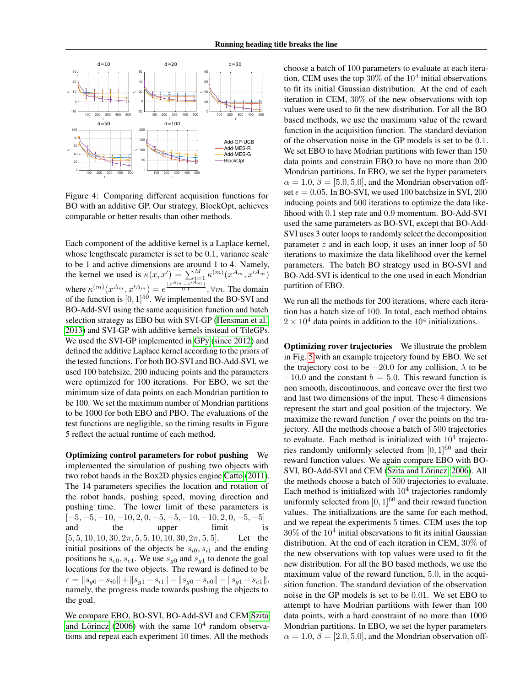

<span id="page-3-0"></span>Figure 4: Comparing different acquisition functions for BO with an additive GP. Our strategy, BlockOpt, achieves comparable or better results than other methods.

Each component of the additive kernel is a Laplace kernel, whose lengthscale parameter is set to be 0.1, variance scale to be 1 and active dimensions are around 1 to 4. Namely, the kernel we used is  $\kappa(x, x') = \sum_{i=1}^{M} \kappa^{(m)}(x^{A_m}, x'^{A_m})$ where  $\kappa^{(m)}(x^{A_m}, x'^{A_m}) = e^{\frac{|x^{A_m}-x'^{A_m}|}{0.1}}, \forall m$ . The domain of the function is  $[0, 1]^{50}$ . We implemented the BO-SVI and BO-Add-SVI using the same acquisition function and batch selection strategy as EBO but with SVI-GP [\(Hensman et al.,](#page-4-2) [2013\)](#page-4-2) and SVI-GP with additive kernels instead of TileGPs. We used the SVI-GP implemented in [GPy](#page-4-3) [\(since 2012\)](#page-4-3) and defined the additive Laplace kernel according to the priors of the tested functions. For both BO-SVI and BO-Add-SVI, we used 100 batchsize, 200 inducing points and the parameters were optimized for 100 iterations. For EBO, we set the minimum size of data points on each Mondrian partition to be 100. We set the maximum number of Mondrian partitions to be 1000 for both EBO and PBO. The evaluations of the test functions are negligible, so the timing results in Figure 5 reflect the actual runtime of each method.

Optimizing control parameters for robot pushing We implemented the simulation of pushing two objects with two robot hands in the Box2D physics engine [Catto](#page-4-4) [\(2011\)](#page-4-4). The 14 parameters specifies the location and rotation of the robot hands, pushing speed, moving direction and pushing time. The lower limit of these parameters is  $[-5, -5, -10, -10, 2, 0, -5, -5, -10, -10, 2, 0, -5, -5]$ and the upper limit is  $[5, 5, 10, 10, 30, 2\pi, 5, 5, 10, 10, 30, 2\pi, 5, 5]$ . Let the initial positions of the objects be  $s_{i0}, s_{i1}$  and the ending positions be  $s_{e0}, s_{e1}$ . We use  $s_{q0}$  and  $s_{q1}$  to denote the goal locations for the two objects. The reward is defined to be  $r = \|s_{q0} - s_{i0}\| + \|s_{q1} - s_{i1}\| - \|s_{q0} - s_{e0}\| - \|s_{q1} - s_{e1}\|,$ namely, the progress made towards pushing the objects to the goal.

We compare EBO, BO-SVI, BO-Add-SVI and CEM [Szita](#page-5-2) and Lörincz [\(2006\)](#page-5-2) with the same  $10<sup>4</sup>$  random observations and repeat each experiment 10 times. All the methods

choose a batch of 100 parameters to evaluate at each iteration. CEM uses the top  $30\%$  of the  $10^4$  initial observations to fit its initial Gaussian distribution. At the end of each iteration in CEM, 30% of the new observations with top values were used to fit the new distribution. For all the BO based methods, we use the maximum value of the reward function in the acquisition function. The standard deviation of the observation noise in the GP models is set to be 0.1. We set EBO to have Modrian partitions with fewer than 150 data points and constrain EBO to have no more than 200 Mondrian partitions. In EBO, we set the hyper parameters  $\alpha = 1.0, \beta = [5.0, 5.0]$ , and the Mondrian observation offset  $\epsilon = 0.05$ . In BO-SVI, we used 100 batchsize in SVI, 200 inducing points and 500 iterations to optimize the data likelihood with 0.1 step rate and 0.9 momentum. BO-Add-SVI used the same parameters as BO-SVI, except that BO-Add-SVI uses 3 outer loops to randomly select the decomposition parameter  $z$  and in each loop, it uses an inner loop of 50 iterations to maximize the data likelihood over the kernel parameters. The batch BO strategy used in BO-SVI and BO-Add-SVI is identical to the one used in each Mondrian partition of EBO.

We run all the methods for 200 iterations, where each iteration has a batch size of 100. In total, each method obtains  $2 \times 10^4$  data points in addition to the  $10^4$  initializations.

Optimizing rover trajectories We illustrate the problem in Fig. [5](#page-4-5) with an example trajectory found by EBO. We set the trajectory cost to be  $-20.0$  for any collision,  $\lambda$  to be  $-10.0$  and the constant  $b = 5.0$ . This reward function is non smooth, discontinuous, and concave over the first two and last two dimensions of the input. These 4 dimensions represent the start and goal position of the trajectory. We maximize the reward function  $f$  over the points on the trajectory. All the methods choose a batch of 500 trajectories to evaluate. Each method is initialized with  $10<sup>4</sup>$  trajectories randomly uniformly selected from  $[0, 1]^{60}$  and their reward function values. We again compare EBO with BO-SVI, BO-Add-SVI and CEM (Szita and Lörincz, 2006). All the methods choose a batch of 500 trajectories to evaluate. Each method is initialized with  $10<sup>4</sup>$  trajectories randomly uniformly selected from  $[0, 1]^{60}$  and their reward function values. The initializations are the same for each method, and we repeat the experiments 5 times. CEM uses the top  $30\%$  of the  $10<sup>4</sup>$  initial observations to fit its initial Gaussian distribution. At the end of each iteration in CEM, 30% of the new observations with top values were used to fit the new distribution. For all the BO based methods, we use the maximum value of the reward function, 5.0, in the acquisition function. The standard deviation of the observation noise in the GP models is set to be 0.01. We set EBO to attempt to have Modrian partitions with fewer than 100 data points, with a hard constraint of no more than 1000 Mondrian partitions. In EBO, we set the hyper parameters  $\alpha = 1.0, \beta = [2.0, 5.0]$ , and the Mondrian observation off-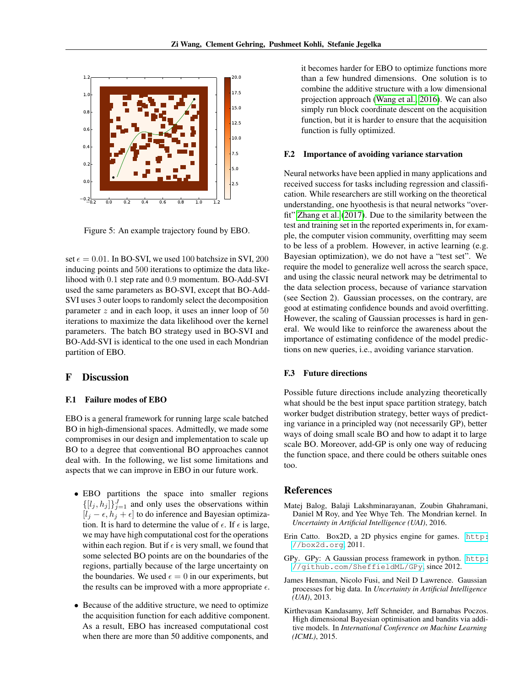

<span id="page-4-5"></span>Figure 5: An example trajectory found by EBO.

set  $\epsilon = 0.01$ . In BO-SVI, we used 100 batchsize in SVI, 200 inducing points and 500 iterations to optimize the data likelihood with 0.1 step rate and 0.9 momentum. BO-Add-SVI used the same parameters as BO-SVI, except that BO-Add-SVI uses 3 outer loops to randomly select the decomposition parameter  $z$  and in each loop, it uses an inner loop of 50 iterations to maximize the data likelihood over the kernel parameters. The batch BO strategy used in BO-SVI and BO-Add-SVI is identical to the one used in each Mondrian partition of EBO.

#### F Discussion

#### F.1 Failure modes of EBO

EBO is a general framework for running large scale batched BO in high-dimensional spaces. Admittedly, we made some compromises in our design and implementation to scale up BO to a degree that conventional BO approaches cannot deal with. In the following, we list some limitations and aspects that we can improve in EBO in our future work.

- EBO partitions the space into smaller regions  $\{[l_j, h_j]\}_{j=1}^J$  and only uses the observations within  $[l_j - \epsilon, h_j + \epsilon]$  to do inference and Bayesian optimization. It is hard to determine the value of  $\epsilon$ . If  $\epsilon$  is large, we may have high computational cost for the operations within each region. But if  $\epsilon$  is very small, we found that some selected BO points are on the boundaries of the regions, partially because of the large uncertainty on the boundaries. We used  $\epsilon = 0$  in our experiments, but the results can be improved with a more appropriate  $\epsilon$ .
- Because of the additive structure, we need to optimize the acquisition function for each additive component. As a result, EBO has increased computational cost when there are more than 50 additive components, and

it becomes harder for EBO to optimize functions more than a few hundred dimensions. One solution is to combine the additive structure with a low dimensional projection approach [\(Wang et al., 2016\)](#page-5-3). We can also simply run block coordinate descent on the acquisition function, but it is harder to ensure that the acquisition function is fully optimized.

#### F.2 Importance of avoiding variance starvation

Neural networks have been applied in many applications and received success for tasks including regression and classification. While researchers are still working on the theoretical understanding, one hyoothesis is that neural networks "overfit" [Zhang et al.](#page-5-4) [\(2017\)](#page-5-4). Due to the similarity between the test and training set in the reported experiments in, for example, the computer vision community, overfitting may seem to be less of a problem. However, in active learning (e.g. Bayesian optimization), we do not have a "test set". We require the model to generalize well across the search space, and using the classic neural network may be detrimental to the data selection process, because of variance starvation (see Section 2). Gaussian processes, on the contrary, are good at estimating confidence bounds and avoid overfitting. However, the scaling of Gaussian processes is hard in general. We would like to reinforce the awareness about the importance of estimating confidence of the model predictions on new queries, i.e., avoiding variance starvation.

#### F.3 Future directions

Possible future directions include analyzing theoretically what should be the best input space partition strategy, batch worker budget distribution strategy, better ways of predicting variance in a principled way (not necessarily GP), better ways of doing small scale BO and how to adapt it to large scale BO. Moreover, add-GP is only one way of reducing the function space, and there could be others suitable ones too.

#### References

- <span id="page-4-0"></span>Matej Balog, Balaji Lakshminarayanan, Zoubin Ghahramani, Daniel M Roy, and Yee Whye Teh. The Mondrian kernel. In *Uncertainty in Artificial Intelligence (UAI)*, 2016.
- <span id="page-4-4"></span>Erin Catto. Box2D, a 2D physics engine for games. [http:](http://box2d.org) [//box2d.org](http://box2d.org), 2011.
- <span id="page-4-3"></span>GPy. GPy: A Gaussian process framework in python. [http:](http://github.com/SheffieldML/GPy) [//github.com/SheffieldML/GPy](http://github.com/SheffieldML/GPy), since 2012.
- <span id="page-4-2"></span>James Hensman, Nicolo Fusi, and Neil D Lawrence. Gaussian processes for big data. In *Uncertainty in Artificial Intelligence (UAI)*, 2013.
- <span id="page-4-1"></span>Kirthevasan Kandasamy, Jeff Schneider, and Barnabas Poczos. High dimensional Bayesian optimisation and bandits via additive models. In *International Conference on Machine Learning (ICML)*, 2015.